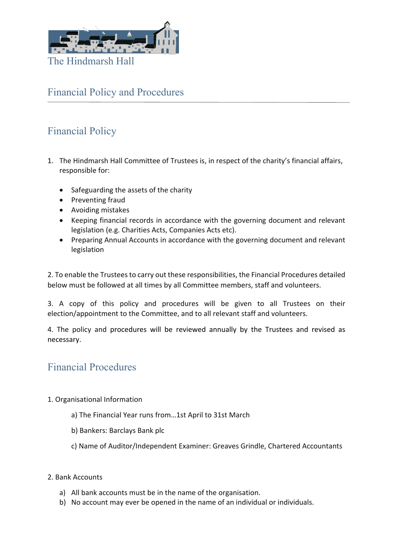

## Financial Policy and Procedures

# Financial Policy

- 1. The Hindmarsh Hall Committee of Trustees is, in respect of the charity's financial affairs, responsible for:
	- Safeguarding the assets of the charity
	- Preventing fraud
	- Avoiding mistakes
	- Keeping financial records in accordance with the governing document and relevant legislation (e.g. Charities Acts, Companies Acts etc).
	- Preparing Annual Accounts in accordance with the governing document and relevant legislation

2. To enable the Trustees to carry out these responsibilities, the Financial Procedures detailed below must be followed at all times by all Committee members, staff and volunteers.

3. A copy of this policy and procedures will be given to all Trustees on their election/appointment to the Committee, and to all relevant staff and volunteers.

4. The policy and procedures will be reviewed annually by the Trustees and revised as necessary.

### Financial Procedures

- 1. Organisational Information
	- a) The Financial Year runs from…1st April to 31st March
	- b) Bankers: Barclays Bank plc
	- c) Name of Auditor/Independent Examiner: Greaves Grindle, Chartered Accountants
- 2. Bank Accounts
	- a) All bank accounts must be in the name of the organisation.
	- b) No account may ever be opened in the name of an individual or individuals.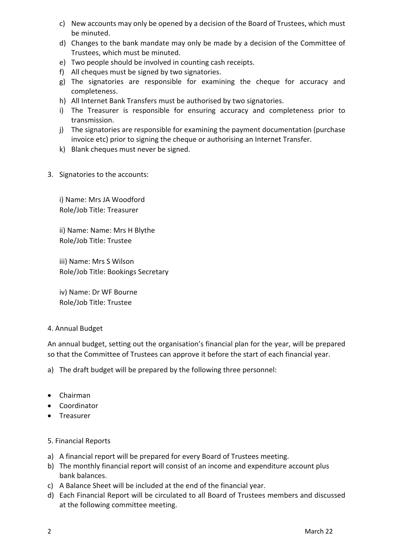- c) New accounts may only be opened by a decision of the Board of Trustees, which must be minuted.
- d) Changes to the bank mandate may only be made by a decision of the Committee of Trustees, which must be minuted.
- e) Two people should be involved in counting cash receipts.
- f) All cheques must be signed by two signatories.
- g) The signatories are responsible for examining the cheque for accuracy and completeness.
- h) All Internet Bank Transfers must be authorised by two signatories.
- i) The Treasurer is responsible for ensuring accuracy and completeness prior to transmission.
- j) The signatories are responsible for examining the payment documentation (purchase invoice etc) prior to signing the cheque or authorising an Internet Transfer.
- k) Blank cheques must never be signed.
- 3. Signatories to the accounts:

i) Name: Mrs JA Woodford Role/Job Title: Treasurer

ii) Name: Name: Mrs H Blythe Role/Job Title: Trustee

iii) Name: Mrs S Wilson Role/Job Title: Bookings Secretary

iv) Name: Dr WF Bourne Role/Job Title: Trustee

#### 4. Annual Budget

An annual budget, setting out the organisation's financial plan for the year, will be prepared so that the Committee of Trustees can approve it before the start of each financial year.

a) The draft budget will be prepared by the following three personnel:

- Chairman
- Coordinator
- **•** Treasurer

#### 5. Financial Reports

- a) A financial report will be prepared for every Board of Trustees meeting.
- b) The monthly financial report will consist of an income and expenditure account plus bank balances.
- c) A Balance Sheet will be included at the end of the financial year.
- d) Each Financial Report will be circulated to all Board of Trustees members and discussed at the following committee meeting.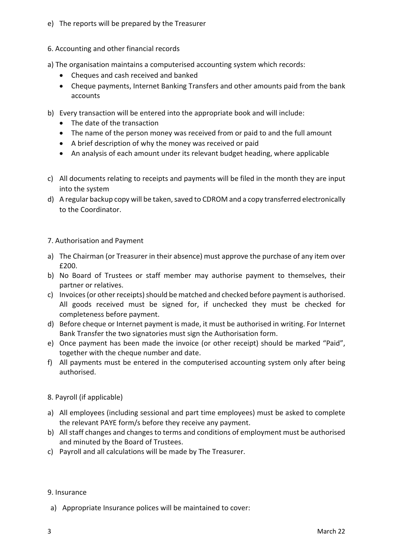- e) The reports will be prepared by the Treasurer
- 6. Accounting and other financial records
- a) The organisation maintains a computerised accounting system which records:
	- Cheques and cash received and banked
	- Cheque payments, Internet Banking Transfers and other amounts paid from the bank accounts
- b) Every transaction will be entered into the appropriate book and will include:
	- The date of the transaction
	- The name of the person money was received from or paid to and the full amount
	- A brief description of why the money was received or paid
	- An analysis of each amount under its relevant budget heading, where applicable
- c) All documents relating to receipts and payments will be filed in the month they are input into the system
- d) A regular backup copy will be taken, saved to CDROM and a copy transferred electronically to the Coordinator.

#### 7. Authorisation and Payment

- a) The Chairman (or Treasurer in their absence) must approve the purchase of any item over £200.
- b) No Board of Trustees or staff member may authorise payment to themselves, their partner or relatives.
- c) Invoices (or other receipts) should be matched and checked before payment is authorised. All goods received must be signed for, if unchecked they must be checked for completeness before payment.
- d) Before cheque or Internet payment is made, it must be authorised in writing. For Internet Bank Transfer the two signatories must sign the Authorisation form.
- e) Once payment has been made the invoice (or other receipt) should be marked "Paid", together with the cheque number and date.
- f) All payments must be entered in the computerised accounting system only after being authorised.
- 8. Payroll (if applicable)
- a) All employees (including sessional and part time employees) must be asked to complete the relevant PAYE form/s before they receive any payment.
- b) All staff changes and changes to terms and conditions of employment must be authorised and minuted by the Board of Trustees.
- c) Payroll and all calculations will be made by The Treasurer.

#### 9. Insurance

a) Appropriate Insurance polices will be maintained to cover: